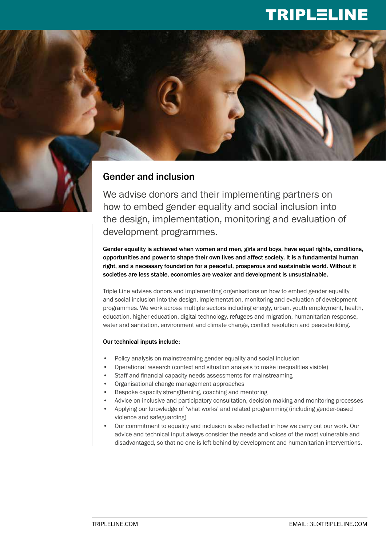## TRIPLELINE

## Gender and inclusion

We advise donors and their implementing partners on how to embed gender equality and social inclusion into the design, implementation, monitoring and evaluation of development programmes.

Gender equality is achieved when women and men, girls and boys, have equal rights, conditions, opportunities and power to shape their own lives and affect society. It is a fundamental human right, and a necessary foundation for a peaceful, prosperous and sustainable world. Without it societies are less stable, economies are weaker and development is unsustainable.

Triple Line advises donors and implementing organisations on how to embed gender equality and social inclusion into the design, implementation, monitoring and evaluation of development programmes. We work across multiple sectors including energy, urban, youth employment, health, education, higher education, digital technology, refugees and migration, humanitarian response, water and sanitation, environment and climate change, conflict resolution and peacebuilding.

## Our technical inputs include:

- Policy analysis on mainstreaming gender equality and social inclusion
- Operational research (context and situation analysis to make inequalities visible)
- Staff and financial capacity needs assessments for mainstreaming
- Organisational change management approaches
- Bespoke capacity strengthening, coaching and mentoring
- Advice on inclusive and participatory consultation, decision-making and monitoring processes
- Applying our knowledge of 'what works' and related programming (including gender-based violence and safeguarding)
- Our commitment to equality and inclusion is also reflected in how we carry out our work. Our advice and technical input always consider the needs and voices of the most vulnerable and disadvantaged, so that no one is left behind by development and humanitarian interventions.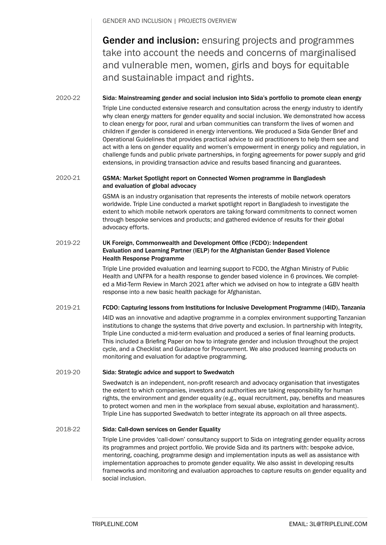GENDER AND INCLUSION | PROJECTS OVERVIEW

Gender and inclusion: ensuring projects and programmes take into account the needs and concerns of marginalised and vulnerable men, women, girls and boys for equitable and sustainable impact and rights.

2020-22

Sida: Mainstreaming gender and social inclusion into Sida's portfolio to promote clean energy

Triple Line conducted extensive research and consultation across the energy industry to identify why clean energy matters for gender equality and social inclusion. We demonstrated how access to clean energy for poor, rural and urban communities can transform the lives of women and children if gender is considered in energy interventions. We produced a Sida Gender Brief and Operational Guidelines that provides practical advice to aid practitioners to help them see and act with a lens on gender equality and women's empowerment in energy policy and regulation, in challenge funds and public private partnerships, in forging agreements for power supply and grid extensions, in providing transaction advice and results based financing and guarantees.

#### GSMA: Market Spotlight report on Connected Women programme in Bangladesh and evaluation of global advocacy 2020-21

GSMA is an industry organisation that represents the interests of mobile network operators worldwide. Triple Line conducted a market spotlight report in Bangladesh to investigate the extent to which mobile network operators are taking forward commitments to connect women through bespoke services and products; and gathered evidence of results for their global advocacy efforts.

#### UK Foreign, Commonwealth and Development Office (FCDO): Independent Evaluation and Learning Partner (IELP) for the Afghanistan Gender Based Violence Health Response Programme 2019-22

Triple Line provided evaluation and learning support to FCDO, the Afghan Ministry of Public Health and UNFPA for a health response to gender based violence in 6 provinces. We completed a Mid-Term Review in March 2021 after which we advised on how to integrate a GBV health response into a new basic health package for Afghanistan.

#### FCDO: Capturing lessons from Institutions for Inclusive Development Programme (I4ID), Tanzania 2019-21

I4ID was an innovative and adaptive programme in a complex environment supporting Tanzanian institutions to change the systems that drive poverty and exclusion. In partnership with Integrity, Triple Line conducted a mid-term evaluation and produced a series of final learning products. This included a Briefing Paper on how to integrate gender and inclusion throughout the project cycle, and a Checklist and Guidance for Procurement. We also produced learning products on monitoring and evaluation for adaptive programming.

#### Sida: Strategic advice and support to Swedwatch 2019-20

Swedwatch is an independent, non-profit research and advocacy organisation that investigates the extent to which companies, investors and authorities are taking responsibility for human rights, the environment and gender equality (e.g., equal recruitment, pay, benefits and measures to protect women and men in the workplace from sexual abuse, exploitation and harassment). Triple Line has supported Swedwatch to better integrate its approach on all three aspects.

#### Sida: Call-down services on Gender Equality 2018-22

Triple Line provides 'call-down' consultancy support to Sida on integrating gender equality across its programmes and project portfolio. We provide Sida and its partners with: bespoke advice, mentoring, coaching, programme design and implementation inputs as well as assistance with implementation approaches to promote gender equality. We also assist in developing results frameworks and monitoring and evaluation approaches to capture results on gender equality and social inclusion.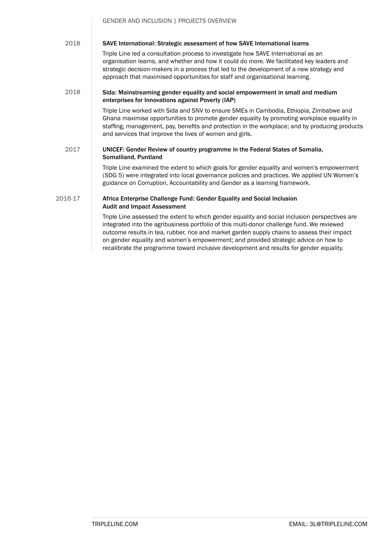GENDER AND INCLUSION | PROJECTS OVERVIEW

#### SAVE International: Strategic assessment of how SAVE International learns 2018

Triple Line led a consultation process to investigate how SAVE International as an organisation learns, and whether and how it could do more. We facilitated key leaders and strategic decision-makers in a process that led to the development of a new strategy and approach that maximised opportunities for staff and organisational learning.

#### Sida: Mainstreaming gender equality and social empowerment in small and medium enterprises for Innovations against Poverty (IAP) 2018

Triple Line worked with Sida and SNV to ensure SMEs in Cambodia, Ethiopia, Zimbabwe and Ghana maximise opportunities to promote gender equality by promoting workplace equality in staffing, management, pay, benefits and protection in the workplace; and by producing products and services that improve the lives of women and girls.

#### UNICEF: Gender Review of country programme in the Federal States of Somalia, Somaliland, Puntland 2017

Triple Line examined the extent to which goals for gender equality and women's empowerment (SDG 5) were integrated into local governance policies and practices. We applied UN Women's guidance on Corruption, Accountability and Gender as a learning framework.

#### Africa Enterprise Challenge Fund: Gender Equality and Social Inclusion Audit and Impact Assessment 2016-17

Triple Line assessed the extent to which gender equality and social inclusion perspectives are integrated into the agribusiness portfolio of this multi-donor challenge fund. We reviewed outcome results in tea, rubber, rice and market garden supply chains to assess their impact on gender equality and women's empowerment; and provided strategic advice on how to recalibrate the programme toward inclusive development and results for gender equality.